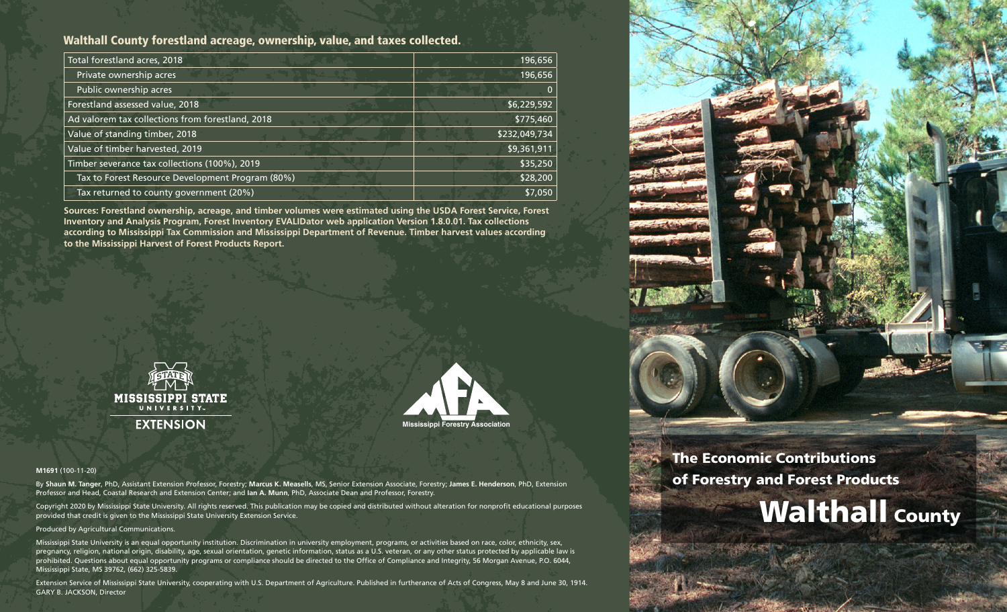# Walthall County forestland acreage, ownership, value, and taxes collected.

| Total forestland acres, 2018                     | 196,656       |
|--------------------------------------------------|---------------|
| Private ownership acres                          | 196,656       |
| Public ownership acres                           |               |
| Forestland assessed value, 2018                  | \$6,229,592   |
| Ad valorem tax collections from forestland, 2018 | \$775,460     |
| Value of standing timber, 2018                   | \$232,049,734 |
| Value of timber harvested, 2019                  | \$9,361,911   |
| Timber severance tax collections (100%), 2019    | \$35,250      |
| Tax to Forest Resource Development Program (80%) | \$28,200      |
| Tax returned to county government (20%)          | \$7,050       |

**Sources: Forestland ownership, acreage, and timber volumes were estimated using the USDA Forest Service, Forest Inventory and Analysis Program, Forest Inventory EVALIDator web application Version 1.8.0.01. Tax collections according to Mississippi Tax Commission and Mississippi Department of Revenue. Timber harvest values according to the Mississippi Harvest of Forest Products Report.**





#### **M1691** (100-11-20)

By **Shaun M. Tanger**, PhD, Assistant Extension Professor, Forestry; **Marcus K. Measells**, MS, Senior Extension Associate, Forestry; **James E. Henderson**, PhD, Extension Professor and Head, Coastal Research and Extension Center; and **Ian A. Munn**, PhD, Associate Dean and Professor, Forestry.

Copyright 2020 by Mississippi State University. All rights reserved. This publication may be copied and distributed without alteration for nonprofit educational purposes provided that credit is given to the Mississippi State University Extension Service.

#### Produced by Agricultural Communications.

Mississippi State University is an equal opportunity institution. Discrimination in university employment, programs, or activities based on race, color, ethnicity, sex, pregnancy, religion, national origin, disability, age, sexual orientation, genetic information, status as a U.S. veteran, or any other status protected by applicable law is prohibited. Questions about equal opportunity programs or compliance should be directed to the Office of Compliance and Integrity, 56 Morgan Avenue, P.O. 6044, Mississippi State, MS 39762, (662) 325-5839.

Extension Service of Mississippi State University, cooperating with U.S. Department of Agriculture. Published in furtherance of Acts of Congress, May 8 and June 30, 1914. GARY B. JACKSON, Director



# The Economic Contributions of Forestry and Forest Products

# **Walthall County**